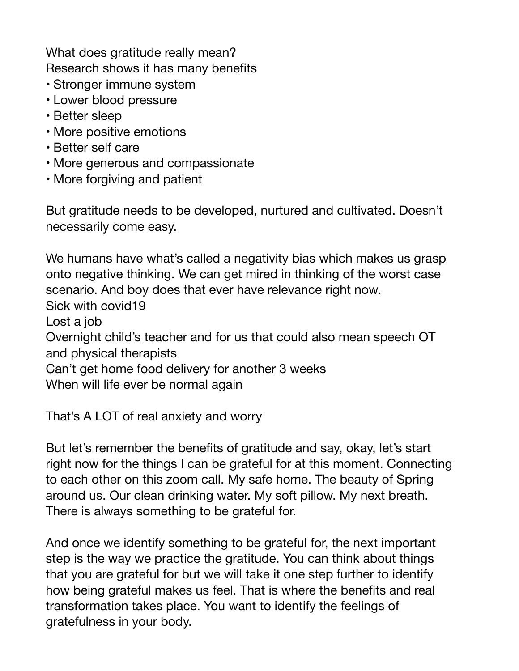What does gratitude really mean? Research shows it has many benefits

- Stronger immune system
- Lower blood pressure
- Better sleep
- More positive emotions
- Better self care
- More generous and compassionate
- More forgiving and patient

But gratitude needs to be developed, nurtured and cultivated. Doesn't necessarily come easy.

We humans have what's called a negativity bias which makes us grasp onto negative thinking. We can get mired in thinking of the worst case scenario. And boy does that ever have relevance right now. Sick with covid19 Lost a job Overnight child's teacher and for us that could also mean speech OT and physical therapists Can't get home food delivery for another 3 weeks When will life ever be normal again

That's A LOT of real anxiety and worry

But let's remember the benefits of gratitude and say, okay, let's start right now for the things I can be grateful for at this moment. Connecting to each other on this zoom call. My safe home. The beauty of Spring around us. Our clean drinking water. My soft pillow. My next breath. There is always something to be grateful for.

And once we identify something to be grateful for, the next important step is the way we practice the gratitude. You can think about things that you are grateful for but we will take it one step further to identify how being grateful makes us feel. That is where the benefits and real transformation takes place. You want to identify the feelings of gratefulness in your body.